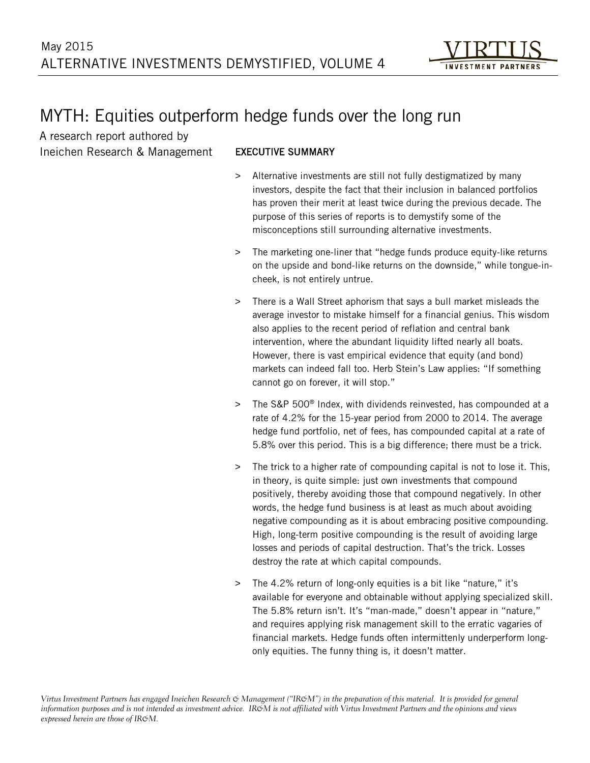# MYTH: Equities outperform hedge funds over the long run

A research report authored by Ineichen Research & Management

## EXECUTIVE SUMMARY

- Alternative investments are still not fully destigmatized by many investors, despite the fact that their inclusion in balanced portfolios has proven their merit at least twice during the previous decade. The purpose of this series of reports is to demystify some of the misconceptions still surrounding alternative investments.
- > The marketing one-liner that "hedge funds produce equity-like returns on the upside and bond-like returns on the downside," while tongue-incheek, is not entirely untrue.
- > There is a Wall Street aphorism that says a bull market misleads the average investor to mistake himself for a financial genius. This wisdom also applies to the recent period of reflation and central bank intervention, where the abundant liquidity lifted nearly all boats. However, there is vast empirical evidence that equity (and bond) markets can indeed fall too. Herb Stein's Law applies: "If something cannot go on forever, it will stop."
- > The S&P 500® Index, with dividends reinvested, has compounded at a rate of 4.2% for the 15-year period from 2000 to 2014. The average hedge fund portfolio, net of fees, has compounded capital at a rate of 5.8% over this period. This is a big difference; there must be a trick.
- > The trick to a higher rate of compounding capital is not to lose it. This, in theory, is quite simple: just own investments that compound positively, thereby avoiding those that compound negatively. In other words, the hedge fund business is at least as much about avoiding negative compounding as it is about embracing positive compounding. High, long-term positive compounding is the result of avoiding large losses and periods of capital destruction. That's the trick. Losses destroy the rate at which capital compounds.
- > The 4.2% return of long-only equities is a bit like "nature," it's available for everyone and obtainable without applying specialized skill. The 5.8% return isn't. It's "man-made," doesn't appear in "nature," and requires applying risk management skill to the erratic vagaries of financial markets. Hedge funds often intermittenly underperform longonly equities. The funny thing is, it doesn't matter.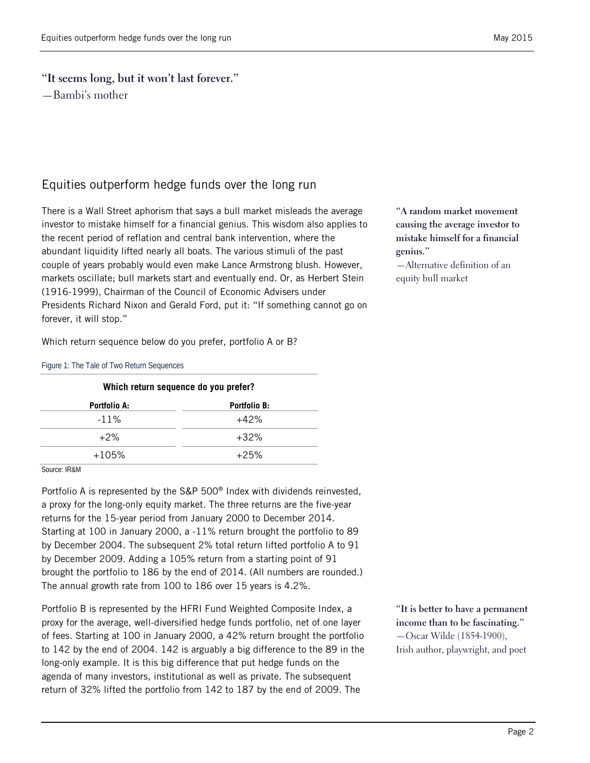### **"It seems long, but it won't last forever."**

—Bambi's mother

## Equities outperform hedge funds over the long run

There is a Wall Street aphorism that says a bull market misleads the average investor to mistake himself for a financial genius. This wisdom also applies to the recent period of reflation and central bank intervention, where the abundant liquidity lifted nearly all boats. The various stimuli of the past couple of years probably would even make Lance Armstrong blush. However, markets oscillate; bull markets start and eventually end. Or, as Herbert Stein (1916-1999), Chairman of the Council of Economic Advisers under Presidents Richard Nixon and Gerald Ford, put it: "If something cannot go on forever, it will stop."

Which return sequence below do you prefer, portfolio A or B?

Figure 1: The Tale of Two Return Sequences

| Which return sequence do you prefer? |                     |  |  |  |  |  |  |  |
|--------------------------------------|---------------------|--|--|--|--|--|--|--|
| Portfolio A:                         | <b>Portfolio B:</b> |  |  |  |  |  |  |  |
| $-11\%$                              | $+42%$              |  |  |  |  |  |  |  |
| $+2\%$                               | $+32\%$             |  |  |  |  |  |  |  |
| $+105%$                              | $+25%$              |  |  |  |  |  |  |  |

Source: IR&M

Portfolio A is represented by the S&P 500® Index with dividends reinvested, a proxy for the long-only equity market. The three returns are the five-year returns for the 15-year period from January 2000 to December 2014. Starting at 100 in January 2000, a -11% return brought the portfolio to 89 by December 2004. The subsequent 2% total return lifted portfolio A to 91 by December 2009. Adding a 105% return from a starting point of 91 brought the portfolio to 186 by the end of 2014. (All numbers are rounded.) The annual growth rate from 100 to 186 over 15 years is 4.2%.

Portfolio B is represented by the HFRI Fund Weighted Composite Index, a proxy for the average, well-diversified hedge funds portfolio, net of one layer of fees. Starting at 100 in January 2000, a 42% return brought the portfolio to 142 by the end of 2004. 142 is arguably a big difference to the 89 in the long-only example. It is this big difference that put hedge funds on the agenda of many investors, institutional as well as private. The subsequent return of 32% lifted the portfolio from 142 to 187 by the end of 2009. The

**"A random market movement causing the average investor to mistake himself for a financial genius."**

—Alternative definition of an equity bull market

**"It is better to have a permanent income than to be fascinating."** —Oscar Wilde (1854-1900), Irish author, playwright, and poet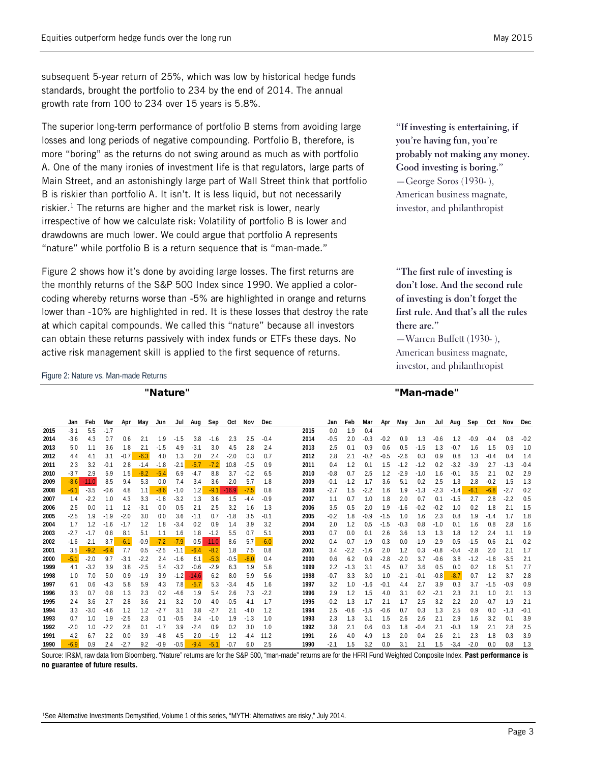subsequent 5-year return of 25%, which was low by historical hedge funds standards, brought the portfolio to 234 by the end of 2014. The annual growth rate from 100 to 234 over 15 years is 5.8%.

The superior long-term performance of portfolio B stems from avoiding large losses and long periods of negative compounding. Portfolio B, therefore, is more "boring" as the returns do not swing around as much as with portfolio A. One of the many ironies of investment life is that regulators, large parts of Main Street, and an astonishingly large part of Wall Street think that portfolio B is riskier than portfolio A. It isn't. It is less liquid, but not necessarily riskier. <sup>1</sup> The returns are higher and the market risk is lower, nearly irrespective of how we calculate risk: Volatility of portfolio B is lower and drawdowns are much lower. We could argue that portfolio A represents "nature" while portfolio B is a return sequence that is "man-made."

Figure 2 shows how it's done by avoiding large losses. The first returns are the monthly returns of the S&P 500 Index since 1990. We applied a colorcoding whereby returns worse than -5% are highlighted in orange and returns lower than -10% are highlighted in red. It is these losses that destroy the rate at which capital compounds. We called this "nature" because all investors can obtain these returns passively with index funds or ETFs these days. No active risk management skill is applied to the first sequence of returns.

**"If investing is entertaining, if you're having fun, you're probably not making any money. Good investing is boring."** —George Soros (1930- ), American business magnate, investor, and philanthropist

**"The first rule of investing is don't lose. And the second rule of investing is don't forget the first rule. And that's all the rules there are."**

—Warren Buffett (1930- ), American business magnate, investor, and philanthropist

#### "Nature" "Man-made"

<span id="page-2-0"></span>Figure 2: Nature vs. Man-made Returns

|      | Jan    | Feb     | Mar    | Apr    | May    | Jun    | Jul    | Aug     | Sep     | Oct     | Nov    | Dec    |      | Jan    | Feb    | Mar    | Apr    | May    | Jun    | Jul    | Aug    | Sep    | Oct    | Nov    | Dec    |
|------|--------|---------|--------|--------|--------|--------|--------|---------|---------|---------|--------|--------|------|--------|--------|--------|--------|--------|--------|--------|--------|--------|--------|--------|--------|
| 2015 | $-3.1$ | 5.5     | $-1.7$ |        |        |        |        |         |         |         |        |        | 2015 | 0.0    | 1.9    | 0.4    |        |        |        |        |        |        |        |        |        |
| 2014 | $-3.6$ | 4.3     | 0.7    | 0.6    | 2.1    | 1.9    | $-1.5$ | 3.8     | $-1.6$  | 2.3     | 2.5    | $-0.4$ | 2014 | $-0.5$ | 2.0    | $-0.3$ | $-0.2$ | 0.9    | 1.3    | $-0.6$ | 1.2    | $-0.9$ | $-0.4$ | 0.8    | $-0.2$ |
| 2013 | 5.0    | 1.1     | 3.6    | 1.8    | 2.1    | $-1.5$ | 4.9    | $-3.1$  | 3.0     | 4.5     | 2.8    | 2.4    | 2013 | 2.5    | 0.1    | 0.9    | 0.6    | 0.5    | $-1.5$ | 1.3    | $-0.7$ | 1.6    | 1.5    | 0.9    | 1.0    |
| 2012 | 4.4    | 4.1     | 3.1    | $-0.7$ | $-6.3$ | 4.0    | 1.3    | 2.0     | 2.4     | $-2.0$  | 0.3    | 0.7    | 2012 | 2.8    | 2.1    | $-0.2$ | $-0.5$ | $-2.6$ | 0.3    | 0.9    | 0.8    | 1.3    | $-0.4$ | 0.4    | 1.4    |
| 2011 | 2.3    | 3.2     | $-0.1$ | 2.8    | $-1.4$ | $-1.8$ | $-2.1$ | $-5.7$  | $-7.2$  | 10.8    | $-0.5$ | 0.9    | 2011 | 0.4    | 1.2    | 0.1    | 1.5    | $-1.2$ | $-1.2$ | 0.2    | $-3.2$ | $-3.9$ | 2.7    | $-1.3$ | $-0.4$ |
| 2010 | $-3.7$ | 2.9     | 5.9    | 1.5    | $-8.2$ | $-5.4$ | 6.9    | $-4.7$  | 8.8     | 3.7     | $-0.2$ | 6.5    | 2010 | $-0.8$ | 0.7    | 2.5    | 1.2    | $-2.9$ | $-1.0$ | 1.6    | $-0.1$ | 3.5    | 2.1    | 0.2    | 2.9    |
| 2009 | $-8.6$ | $-11.0$ | 8.5    | 9.4    | 5.3    | 0.0    | 7.4    | 3.4     | 3.6     | $-2.0$  | 5.7    | 1.8    | 2009 | $-0.1$ | $-1.2$ | 1.7    | 3.6    | 5.1    | 0.2    | 2.5    | 1.3    | 2.8    | $-0.2$ | 1.5    | 1.3    |
| 2008 | $-6.1$ | $-3.5$  | $-0.6$ | 4.8    | 1.1    | $-8.6$ | $-1.0$ | 1.2     | $-9.1$  | $-16.9$ | $-7.5$ | 0.8    | 2008 | $-2.7$ | 1.5    | $-2.2$ | 1.6    | 1.9    | $-1.3$ | $-2.3$ | $-1.4$ | $-6.1$ | $-6.8$ | $-2.7$ | 0.2    |
| 2007 | 1.4    | $-2.2$  | 1.0    | 4.3    | 3.3    | $-1.8$ | $-3.2$ | 1.3     | 3.6     | 1.5     | $-4.4$ | $-0.9$ | 2007 | 1.1    | 0.7    | 1.0    | 1.8    | 2.0    | 0.7    | 0.1    | $-1.5$ | 2.7    | 2.8    | $-2.2$ | 0.5    |
| 2006 | 2.5    | 0.0     | 1.1    | 1.2    | $-3.1$ | 0.0    | 0.5    | 2.1     | 2.5     | 3.2     | 1.6    | 1.3    | 2006 | 3.5    | 0.5    | 2.0    | 1.9    | $-1.6$ | $-0.2$ | $-0.2$ | 1.0    | 0.2    | 1.8    | 2.1    | 1.5    |
| 2005 | $-2.5$ | 1.9     | $-1.9$ | $-2.0$ | 3.0    | 0.0    | 3.6    | $-1.1$  | 0.7     | $-1.8$  | 3.5    | $-0.1$ | 2005 | $-0.2$ | 1.8    | $-0.9$ | $-1.5$ | 1.0    | 1.6    | 2.3    | 0.8    | 1.9    | $-1.4$ | 1.7    | 1.8    |
| 2004 | 1.7    | 1.2     | $-1.6$ | $-1.7$ | 1.2    | 1.8    | $-3.4$ | 0.2     | 0.9     | 1.4     | 3.9    | 3.2    | 2004 | 2.0    | 1.2    | 0.5    | $-1.5$ | $-0.3$ | 0.8    | $-1.0$ | 0.1    | 1.6    | 0.8    | 2.8    | 1.6    |
| 2003 | $-2.7$ | $-1.7$  | 0.8    | 8.1    | 5.1    | 1.1    | 1.6    | 1.8     | $-1.2$  | 5.5     | 0.7    | 5.1    | 2003 | 0.7    | 0.0    | 0.1    | 2.6    | 3.6    | 1.3    | 1.3    | 1.8    | 1.2    | 2.4    | 1.1    | 1.9    |
| 2002 | $-1.6$ | $-2.1$  | 3.7    | $-6.1$ | $-0.9$ | $-7.2$ | $-7.9$ | 0.5     | $-11.0$ | 8.6     | 5.7    | $-6.0$ | 2002 | 0.4    | $-0.7$ | 1.9    | 0.3    | 0.0    | $-1.9$ | $-2.9$ | 0.5    | $-1.5$ | 0.6    | 2.1    | $-0.2$ |
| 2001 | 3.5    | $-9.2$  | $-6.4$ | 7.7    | 0.5    | $-2.5$ | $-1.1$ | $-6.4$  | $-8.2$  | 1.8     | 7.5    | 0.8    | 2001 | 3.4    | $-2.2$ | $-1.6$ | 2.0    | 1.2    | 0.3    | $-0.8$ | $-0.4$ | $-2.8$ | 2.0    | 2.1    | 1.7    |
| 2000 | $-5.1$ | $-2.0$  | 9.7    | $-3.1$ | $-2.2$ | 2.4    | $-1.6$ | 6.1     | $-5.3$  | $-0.5$  | $-8.0$ | 0.4    | 2000 | 0.6    | 6.2    | 0.9    | $-2.8$ | $-2.0$ | 3.7    | $-0.6$ | 3.8    | $-1.2$ | $-1.8$ | $-3.5$ | 2.1    |
| 1999 | 4.1    | $-3.2$  | 3.9    | 3.8    | $-2.5$ | 5.4    | $-3.2$ | $-0.6$  | $-2.9$  | 6.3     | 1.9    | 5.8    | 1999 | 2.2    | $-1.3$ | 3.1    | 4.5    | 0.7    | 3.6    | 0.5    | 0.0    | 0.2    | 1.6    | 5.1    | 7.7    |
| 1998 | 1.0    | 7.0     | 5.0    | 0.9    | $-1.9$ | 3.9    | $-1.2$ | $-14.6$ | 6.2     | 8.0     | 5.9    | 5.6    | 1998 | $-0.7$ | 3.3    | 3.0    | 1.0    | $-2.1$ | $-0.1$ | $-0.8$ | $-8.7$ | 0.7    | 1.2    | 3.7    | 2.8    |
| 1997 | 6.1    | 0.6     | $-4.3$ | 5.8    | 5.9    | 4.3    | 7.8    | $-5.7$  | 5.3     | $-3.4$  | 4.5    | 1.6    | 1997 | 3.2    | 1.0    | $-1.6$ | $-0.1$ | 4.4    | 2.7    | 3.9    | 0.3    | 3.7    | $-1.5$ | $-0.9$ | 0.9    |
| 1996 | 3.3    | 0.7     | 0.8    | 1.3    | 2.3    | 0.2    | $-4.6$ | 1.9     | 5.4     | 2.6     | 7.3    | $-2.2$ | 1996 | 2.9    | 1.2    | 1.5    | 4.0    | 3.1    | 0.2    | $-2.1$ | 2.3    | 2.1    | 1.0    | 2.1    | 1.3    |
| 1995 | 2.4    | 3.6     | 2.7    | 2.8    | 3.6    | 2.1    | 3.2    | 0.0     | 4.0     | $-0.5$  | 4.1    | 1.7    | 1995 | $-0.2$ | 1.3    | 1.7    | 2.1    | 1.7    | 2.5    | 3.2    | 2.2    | 2.0    | $-0.7$ | 1.9    | 2.1    |
| 1994 | 3.3    | $-3.0$  | $-4.6$ | 1.2    | 1.2    | $-2.7$ | 3.1    | 3.8     | $-2.7$  | 2.1     | $-4.0$ | 1.2    | 1994 | 2.5    | $-0.6$ | $-1.5$ | $-0.6$ | 0.7    | 0.3    | 1.3    | 2.5    | 0.9    | 0.0    | $-1.3$ | $-0.1$ |
| 1993 | 0.7    | 1.0     | 1.9    | $-2.5$ | 2.3    | 0.1    | $-0.5$ | 3.4     | $-1.0$  | 1.9     | $-1.3$ | 1.0    | 1993 | 2.3    | 1.3    | 3.1    | 1.5    | 2.6    | 2.6    | 2.1    | 2.9    | 1.6    | 3.2    | 0.1    | 3.9    |
| 1992 | $-2.0$ | 1.0     | $-2.2$ | 2.8    | 0.1    | $-1.7$ | 3.9    | $-2.4$  | 0.9     | 0.2     | 3.0    | 1.0    | 1992 | 3.8    | 2.1    | 0.6    | 0.3    | 1.8    | $-0.4$ | 2.1    | $-0.3$ | 1.9    | 2.1    | 2.8    | 2.5    |
| 1991 | 4.2    | 6.7     | 2.2    | 0.0    | 3.9    | $-4.8$ | 4.5    | 2.0     | $-1.9$  | 1.2     | -4.4   | 11.2   | 1991 | 2.6    | 4.0    | 4.9    | 1.3    | 2.0    | 0.4    | 2.6    | 2.1    | 2.3    | 1.8    | 0.3    | 3.9    |
| 1990 | $-6.9$ | 0.9     | 2.4    | $-2.7$ | 9.2    | $-0.9$ | $-0.5$ | $-9.4$  | $-5.7$  | $-0.7$  | 6.0    | 2.5    | 1990 | $-2.1$ | 1.5    | 3.2    | 0.0    | 3.1    | 2.1    | 1.5    | $-3.4$ | $-2.0$ | 0.0    | 0.8    | 1.3    |

Source: IR&M, raw data from Bloomberg. "Nature" returns are for the S&P 500, "man-made" returns are for the HFRI Fund Weighted Composite Index. **Past performance is no guarantee of future results.**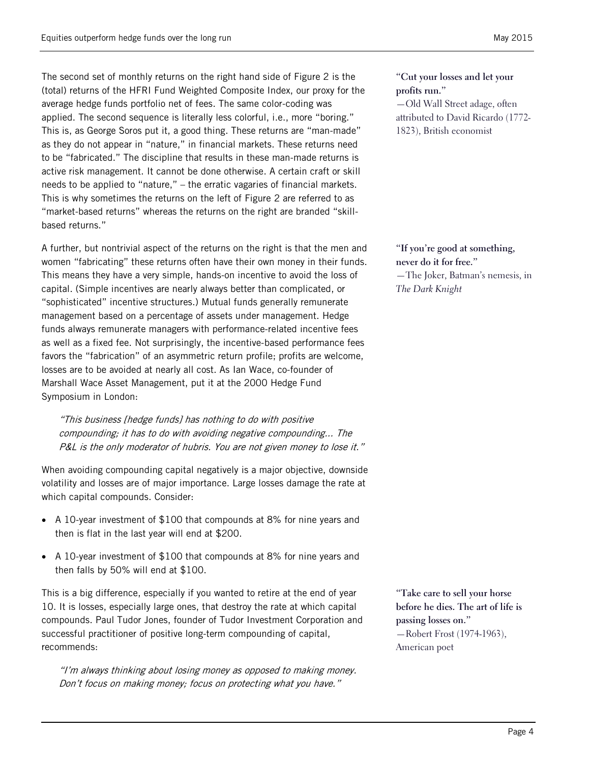The second set of monthly returns on the right hand side of [Figure 2](#page-2-0) is the (total) returns of the HFRI Fund Weighted Composite Index, our proxy for the average hedge funds portfolio net of fees. The same color-coding was applied. The second sequence is literally less colorful, i.e., more "boring." This is, as George Soros put it, a good thing. These returns are "man-made" as they do not appear in "nature," in financial markets. These returns need to be "fabricated." The discipline that results in these man-made returns is active risk management. It cannot be done otherwise. A certain craft or skill needs to be applied to "nature," – the erratic vagaries of financial markets. This is why sometimes the returns on the left of [Figure 2](#page-2-0) are referred to as "market-based returns" whereas the returns on the right are branded "skillbased returns."

A further, but nontrivial aspect of the returns on the right is that the men and women "fabricating" these returns often have their own money in their funds. This means they have a very simple, hands-on incentive to avoid the loss of capital. (Simple incentives are nearly always better than complicated, or "sophisticated" incentive structures.) Mutual funds generally remunerate management based on a percentage of assets under management. Hedge funds always remunerate managers with performance-related incentive fees as well as a fixed fee. Not surprisingly, the incentive-based performance fees favors the "fabrication" of an asymmetric return profile; profits are welcome, losses are to be avoided at nearly all cost. As Ian Wace, co-founder of Marshall Wace Asset Management, put it at the 2000 Hedge Fund Symposium in London:

"This business [hedge funds] has nothing to do with positive compounding; it has to do with avoiding negative compounding... The P&L is the only moderator of hubris. You are not given money to lose it."

When avoiding compounding capital negatively is a major objective, downside volatility and losses are of major importance. Large losses damage the rate at which capital compounds. Consider:

- A 10-year investment of \$100 that compounds at 8% for nine years and then is flat in the last year will end at \$200.
- A 10-year investment of \$100 that compounds at 8% for nine years and then falls by 50% will end at \$100.

This is a big difference, especially if you wanted to retire at the end of year 10. It is losses, especially large ones, that destroy the rate at which capital compounds. Paul Tudor Jones, founder of Tudor Investment Corporation and successful practitioner of positive long-term compounding of capital, recommends:

"I'm always thinking about losing money as opposed to making money. Don't focus on making money; focus on protecting what you have."

**"Cut your losses and let your profits run."** —Old Wall Street adage, often

attributed to David Ricardo (1772- 1823), British economist

**"If you're good at something, never do it for free."** —The Joker, Batman's nemesis, in *The Dark Knight*

**"Take care to sell your horse before he dies. The art of life is passing losses on."** —Robert Frost (1974-1963), American poet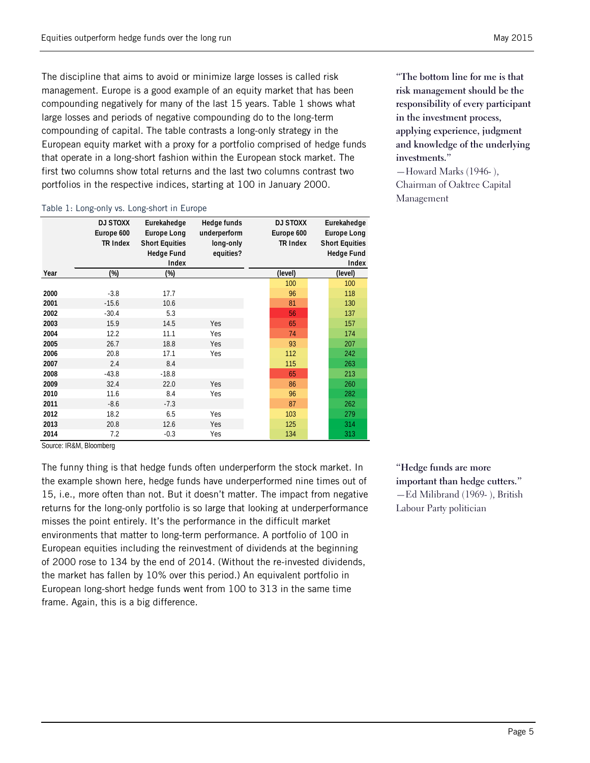The discipline that aims to avoid or minimize large losses is called risk management. Europe is a good example of an equity market that has been compounding negatively for many of the last 15 years. [Table 1](#page-4-0) shows what large losses and periods of negative compounding do to the long-term compounding of capital. The table contrasts a long-only strategy in the European equity market with a proxy for a portfolio comprised of hedge funds that operate in a long-short fashion within the European stock market. The first two columns show total returns and the last two columns contrast two portfolios in the respective indices, starting at 100 in January 2000.

#### <span id="page-4-0"></span>Table 1: Long-only vs. Long-short in Europe

|      | <b>DJ STOXX</b><br>Europe 600<br><b>TR Index</b> | Eurekahedge<br><b>Europe Long</b><br><b>Short Equities</b><br><b>Hedge Fund</b><br>Index | Hedge funds<br>underperform<br>long-only<br>equities? | <b>DJ STOXX</b><br>Europe 600<br><b>TR Index</b> | Eurekahedge<br><b>Europe Long</b><br><b>Short Equities</b><br><b>Hedge Fund</b><br>Index |  |  |  |
|------|--------------------------------------------------|------------------------------------------------------------------------------------------|-------------------------------------------------------|--------------------------------------------------|------------------------------------------------------------------------------------------|--|--|--|
| Year | $(\%)$                                           | $(\%)$                                                                                   |                                                       | (level)                                          | (level)                                                                                  |  |  |  |
|      |                                                  |                                                                                          |                                                       | 100                                              | 100                                                                                      |  |  |  |
| 2000 | $-3.8$                                           | 17.7                                                                                     |                                                       | 96                                               | 118                                                                                      |  |  |  |
| 2001 | $-15.6$                                          | 10.6                                                                                     |                                                       | 81                                               | 130                                                                                      |  |  |  |
| 2002 | $-30.4$                                          | 5.3                                                                                      |                                                       | 56                                               | 137                                                                                      |  |  |  |
| 2003 | 15.9                                             | 14.5                                                                                     | Yes                                                   | 65                                               | 157                                                                                      |  |  |  |
| 2004 | 12.2                                             | 11.1                                                                                     | Yes                                                   | 74                                               | 174                                                                                      |  |  |  |
| 2005 | 26.7                                             | 18.8                                                                                     | Yes                                                   | 93                                               | 207                                                                                      |  |  |  |
| 2006 | 20.8                                             | 17.1                                                                                     | Yes                                                   | 112                                              | 242                                                                                      |  |  |  |
| 2007 | 2.4                                              | 8.4                                                                                      |                                                       | 115                                              | 263                                                                                      |  |  |  |
| 2008 | $-43.8$                                          | $-18.8$                                                                                  |                                                       | 65                                               | 213                                                                                      |  |  |  |
| 2009 | 32.4                                             | 22.0                                                                                     | Yes                                                   | 86                                               | 260                                                                                      |  |  |  |
| 2010 | 11.6                                             | 8.4                                                                                      | Yes                                                   | 96                                               | 282                                                                                      |  |  |  |
| 2011 | $-8.6$                                           | $-7.3$                                                                                   |                                                       | 87                                               | 262                                                                                      |  |  |  |
| 2012 | 18.2                                             | 6.5                                                                                      | Yes                                                   | 103                                              | 279                                                                                      |  |  |  |
| 2013 | 20.8                                             | 12.6                                                                                     | Yes                                                   | 125                                              | 314                                                                                      |  |  |  |
| 2014 | 7.2<br>.                                         | $-0.3$                                                                                   | Yes                                                   | 134                                              | 313                                                                                      |  |  |  |

**"The bottom line for me is that risk management should be the responsibility of every participant in the investment process, applying experience, judgment and knowledge of the underlying investments."** —Howard Marks (1946- ),

Chairman of Oaktree Capital Management

Source: IR&M, Bloomberg

The funny thing is that hedge funds often underperform the stock market. In the example shown here, hedge funds have underperformed nine times out of 15, i.e., more often than not. But it doesn't matter. The impact from negative returns for the long-only portfolio is so large that looking at underperformance misses the point entirely. It's the performance in the difficult market environments that matter to long-term performance. A portfolio of 100 in European equities including the reinvestment of dividends at the beginning of 2000 rose to 134 by the end of 2014. (Without the re-invested dividends, the market has fallen by 10% over this period.) An equivalent portfolio in European long-short hedge funds went from 100 to 313 in the same time frame. Again, this is a big difference.

**"Hedge funds are more important than hedge cutters."** —Ed Milibrand (1969- ), British Labour Party politician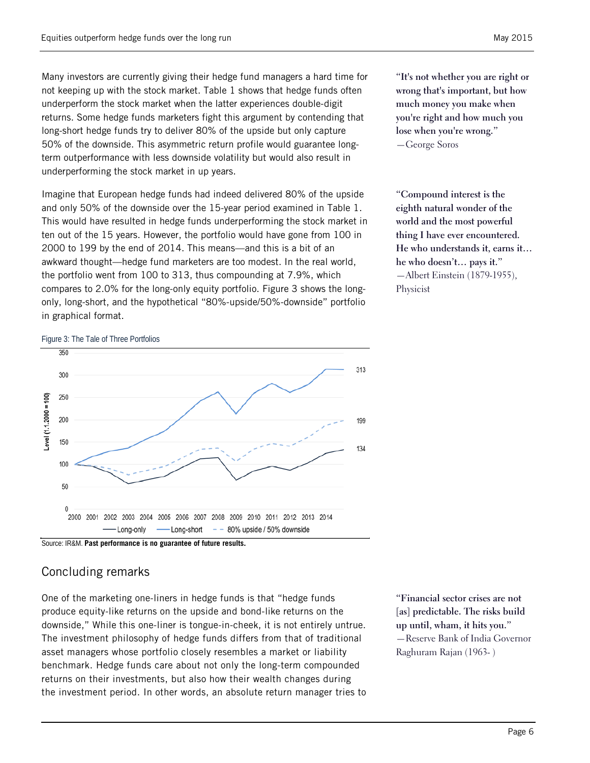Many investors are currently giving their hedge fund managers a hard time for not keeping up with the stock market. [Table 1](#page-4-0) shows that hedge funds often underperform the stock market when the latter experiences double-digit returns. Some hedge funds marketers fight this argument by contending that long-short hedge funds try to deliver 80% of the upside but only capture 50% of the downside. This asymmetric return profile would guarantee longterm outperformance with less downside volatility but would also result in underperforming the stock market in up years.

Imagine that European hedge funds had indeed delivered 80% of the upside and only 50% of the downside over the 15-year period examined in [Table 1.](#page-4-0) This would have resulted in hedge funds underperforming the stock market in ten out of the 15 years. However, the portfolio would have gone from 100 in 2000 to 199 by the end of 2014. This means—and this is a bit of an awkward thought—hedge fund marketers are too modest. In the real world, the portfolio went from 100 to 313, thus compounding at 7.9%, which compares to 2.0% for the long-only equity portfolio. [Figure 3](#page-5-0) shows the longonly, long-short, and the hypothetical "80%-upside/50%-downside" portfolio in graphical format.

**"It's not whether you are right or wrong that's important, but how much money you make when you're right and how much you lose when you're wrong."** —George Soros

**"Compound interest is the eighth natural wonder of the world and the most powerful thing I have ever encountered. He who understands it, earns it… he who doesn't… pays it."** —Albert Einstein (1879-1955), Physicist

#### <span id="page-5-0"></span>Figure 3: The Tale of Three Portfolios



Source: IR&M. **Past performance is no guarantee of future results.**

# Concluding remarks

One of the marketing one-liners in hedge funds is that "hedge funds produce equity-like returns on the upside and bond-like returns on the downside," While this one-liner is tongue-in-cheek, it is not entirely untrue. The investment philosophy of hedge funds differs from that of traditional asset managers whose portfolio closely resembles a market or liability benchmark. Hedge funds care about not only the long-term compounded returns on their investments, but also how their wealth changes during the investment period. In other words, an absolute return manager tries to

**"Financial sector crises are not [as] predictable. The risks build up until, wham, it hits you."** —Reserve Bank of India Governor Raghuram Rajan (1963- )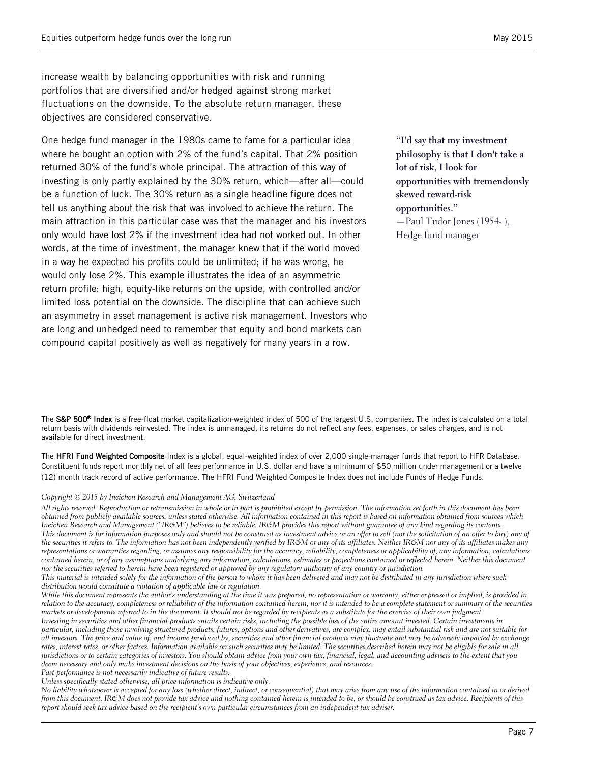objectives are considered conservative.

increase wealth by balancing opportunities with risk and running portfolios that are diversified and/or hedged against strong market fluctuations on the downside. To the absolute return manager, these

One hedge fund manager in the 1980s came to fame for a particular idea where he bought an option with 2% of the fund's capital. That 2% position returned 30% of the fund's whole principal. The attraction of this way of investing is only partly explained by the 30% return, which—after all—could be a function of luck. The 30% return as a single headline figure does not tell us anything about the risk that was involved to achieve the return. The main attraction in this particular case was that the manager and his investors only would have lost 2% if the investment idea had not worked out. In other words, at the time of investment, the manager knew that if the world moved in a way he expected his profits could be unlimited; if he was wrong, he would only lose 2%. This example illustrates the idea of an asymmetric return profile: high, equity-like returns on the upside, with controlled and/or limited loss potential on the downside. The discipline that can achieve such an asymmetry in asset management is active risk management. Investors who are long and unhedged need to remember that equity and bond markets can compound capital positively as well as negatively for many years in a row.

**"I'd say that my investment philosophy is that I don't take a lot of risk, I look for opportunities with tremendously skewed reward-risk opportunities."** —Paul Tudor Jones (1954- ), Hedge fund manager

The S&P 500<sup>®</sup> Index is a free-float market capitalization-weighted index of 500 of the largest U.S. companies. The index is calculated on a total return basis with dividends reinvested. The index is unmanaged, its returns do not reflect any fees, expenses, or sales charges, and is not available for direct investment.

The HFRI Fund Weighted Composite Index is a global, equal-weighted index of over 2,000 single-manager funds that report to HFR Database. Constituent funds report monthly net of all fees performance in U.S. dollar and have a minimum of \$50 million under management or a twelve (12) month track record of active performance. The HFRI Fund Weighted Composite Index does not include Funds of Hedge Funds.

#### *Copyright © 2015 by Ineichen Research and Management AG, Switzerland*

*All rights reserved. Reproduction or retransmission in whole or in part is prohibited except by permission. The information set forth in this document has been obtained from publicly available sources, unless stated otherwise. All information contained in this report is based on information obtained from sources which Ineichen Research and Management ("IR&M") believes to be reliable. IR&M provides this report without guarantee of any kind regarding its contents.* This document is for information purposes only and should not be construed as investment advice or an offer to sell (nor the solicitation of an offer to buy) any of the securities it refers to. The information has not been independently verified by IR&M or any of its affiliates. Neither IR&M nor any of its affiliates makes any *representations or warranties regarding, or assumes any responsibility for the accuracy, reliability, completeness or applicability of, any information, calculations contained herein, or of any assumptions underlying any information, calculations, estimates or projections contained or reflected herein. Neither this document nor the securities referred to herein have been registered or approved by any regulatory authority of any country or jurisdiction.*

*This material is intended solely for the information of the person to whom it has been delivered and may not be distributed in any jurisdiction where such distribution would constitute a violation of applicable law or regulation.*

*While this document represents the author's understanding at the time it was prepared, no representation or warranty, either expressed or implied, is provided in relation to the accuracy, completeness or reliability of the information contained herein, nor it is intended to be a complete statement or summary of the securities markets or developments referred to in the document. It should not be regarded by recipients as a substitute for the exercise of their own judgment. Investing in securities and other financial products entails certain risks, including the possible loss of the entire amount invested. Certain investments in particular, including those involving structured products, futures, options and other derivatives, are complex, may entail substantial risk and are not suitable for* 

*all investors. The price and value of, and income produced by, securities and other financial products may fluctuate and may be adversely impacted by exchange rates, interest rates, or other factors. Information available on such securities may be limited. The securities described herein may not be eligible for sale in all jurisdictions or to certain categories of investors. You should obtain advice from your own tax, financial, legal, and accounting advisers to the extent that you deem necessary and only make investment decisions on the basis of your objectives, experience, and resources.* 

*Past performance is not necessarily indicative of future results. Unless specifically stated otherwise, all price information is indicative only.*

*No liability whatsoever is accepted for any loss (whether direct, indirect, or consequential) that may arise from any use of the information contained in or derived from this document. IR&M does not provide tax advice and nothing contained herein is intended to be, or should be construed as tax advice. Recipients of this report should seek tax advice based on the recipient's own particular circumstances from an independent tax adviser.*